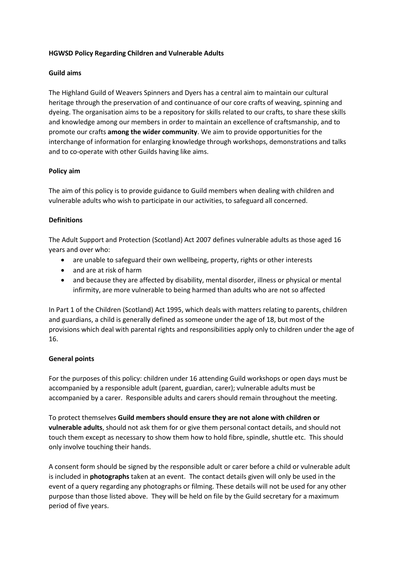# **HGWSD Policy Regarding Children and Vulnerable Adults**

# **Guild aims**

The Highland Guild of Weavers Spinners and Dyers has a central aim to maintain our cultural heritage through the preservation of and continuance of our core crafts of weaving, spinning and dyeing. The organisation aims to be a repository for skills related to our crafts, to share these skills and knowledge among our members in order to maintain an excellence of craftsmanship, and to promote our crafts **among the wider community**. We aim to provide opportunities for the interchange of information for enlarging knowledge through workshops, demonstrations and talks and to co-operate with other Guilds having like aims.

# **Policy aim**

The aim of this policy is to provide guidance to Guild members when dealing with children and vulnerable adults who wish to participate in our activities, to safeguard all concerned.

# **Definitions**

The Adult Support and Protection (Scotland) Act 2007 defines vulnerable adults as those aged 16 years and over who:

- are unable to safeguard their own wellbeing, property, rights or other interests
- and are at risk of harm
- and because they are affected by disability, mental disorder, illness or physical or mental infirmity, are more vulnerable to being harmed than adults who are not so affected

In Part 1 of the Children (Scotland) Act 1995, which deals with matters relating to parents, children and guardians, a child is generally defined as someone under the age of 18, but most of the provisions which deal with parental rights and responsibilities apply only to children under the age of 16.

# **General points**

For the purposes of this policy: children under 16 attending Guild workshops or open days must be accompanied by a responsible adult (parent, guardian, carer); vulnerable adults must be accompanied by a carer. Responsible adults and carers should remain throughout the meeting.

To protect themselves **Guild members should ensure they are not alone with children or vulnerable adults**, should not ask them for or give them personal contact details, and should not touch them except as necessary to show them how to hold fibre, spindle, shuttle etc. This should only involve touching their hands.

A consent form should be signed by the responsible adult or carer before a child or vulnerable adult is included in **photographs** taken at an event. The contact details given will only be used in the event of a query regarding any photographs or filming. These details will not be used for any other purpose than those listed above. They will be held on file by the Guild secretary for a maximum period of five years.